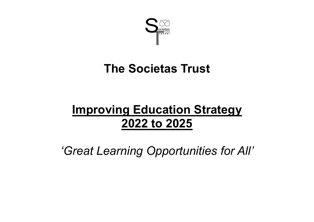

# **The Societas Trust**

# **Improving Education Strategy 2022 to 2025**

*'Great Learning Opportunities for All'*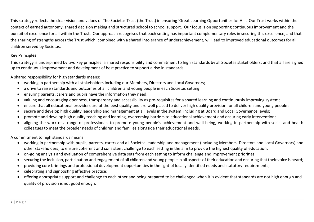This strategy reflects the clear vision and values of The Societas Trust (the Trust) in ensuring 'Great Learning Opportunities for All'. Our Trust works within the context of earned autonomy, shared decision making and structured school to school support. Our focus is on supporting continuous improvement and the pursuit of excellence for all within the Trust. Our approach recognises that each setting has important complementary roles in securing this excellence, and that the sharing of strengths across the Trust which, combined with a shared intolerance of underachievement, will lead to improved educational outcomes for all children served by Societas.

# **Key Principles**

This strategy is underpinned by two key principles: a shared responsibility and commitment to high standards by all Societas stakeholders; and that all are signed up to continuous improvement and development of best practice to support a rise in standards.

A shared responsibility for high standards means:

- working in partnership with all stakeholders including our Members, Directors and Local Governors;
- a drive to raise standards and outcomes of all children and young people in each Societas setting;
- ensuring parents, carers and pupils have the information they need;
- valuing and encouraging openness, transparency and accessibility as pre-requisites for a shared learning and continuously improving system;
- ensure that all educational providers are of the best quality and are well placed to deliver high quality provision for all children and young people;
- secure and develop high quality leadership and management at all levels in the system, including at Board and Local Governance levels;
- promote and develop high quality teaching and learning, overcoming barriers to educational achievement and ensuring early intervention;
- aligning the work of a range of professionals to promote young people's achievement and well-being, working in partnership with social and health colleagues to meet the broader needs of children and families alongside their educational needs.

A commitment to high standards means:

- working in partnership with pupils, parents, carers and all Societas leadership and management (including Members, Directors and Local Governors) and other stakeholders, to ensure coherent and consistent challenge to each setting in the aim to provide the highest quality of education;
- on-going analysis and evaluation of comprehensive data sets from each setting to inform challenge and improvement priorities;
- securing the inclusion, participation and engagement of all children and young people in all aspects of their education and ensuring that their voice is heard;
- providing core briefings and professional development opportunities in the light of locally identified needs and statutory requirements;
- celebrating and signposting effective practice;
- offering appropriate support and challenge to each other and being prepared to be challenged when it is evident that standards are not high enough and quality of provision is not good enough.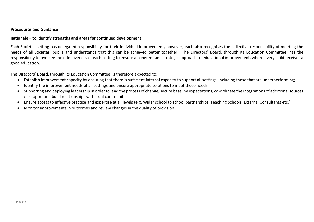#### **Procedures and Guidance**

#### **Rationale – to identify strengths and areas for continued development**

Each Societas setting has delegated responsibility for their individual improvement, however, each also recognises the collective responsibility of meeting the needs of all Societas' pupils and understands that this can be achieved better together. The Directors' Board, through its Education Committee, has the responsibility to oversee the effectiveness of each setting to ensure a coherent and strategic approach to educational improvement, where every child receives a good education.

The Directors' Board, through its Education Committee, is therefore expected to:

- Establish improvement capacity by ensuring that there is sufficient internal capacity to support all settings, including those that are underperforming;
- Identify the improvement needs of all settings and ensure appropriate solutions to meet those needs;
- Supporting and deploying leadership in order to lead the process of change, secure baseline expectations, co-ordinate the integrations of additional sources of support and build relationships with local communities;
- Ensure access to effective practice and expertise at all levels (e.g. Wider school to school partnerships, Teaching Schools, External Consultants etc.);
- Monitor improvements in outcomes and review changes in the quality of provision.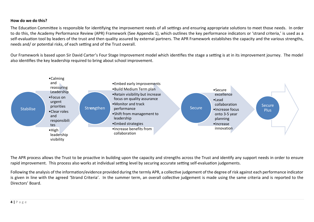### **How do we do this?**

The Education Committee is responsible for identifying the improvement needs of all settings and ensuring appropriate solutions to meet those needs. In order to do this, the Academy Performance Review (APR) Framework (See Appendix 1), which outlines the key performance indicators or 'strand criteria,' is used as a self-evaluation tool by leaders of the trust and then quality assured by external partners. The APR Framework establishes the capacity and the various strengths, needs and/ or potential risks, of each setting and of the Trust overall.

Our Framework is based upon Sir David Carter's Four Stage Improvement model which identifies the stage a setting is at in its improvement journey. The model also identifies the key leadership required to bring about school improvement.



The APR process allows the Trust to be proactive in building upon the capacity and strengths across the Trust and identify any support needs in order to ensure rapid improvement. This process also works at individual setting level by securing accurate setting self-evaluation judgements.

Following the analysis of the information/evidence provided during the termly APR, a collective judgement of the degree of risk against each performance indicator is given in line with the agreed 'Strand Criteria'. In the summer term, an overall collective judgement is made using the same criteria and is reported to the Directors' Board.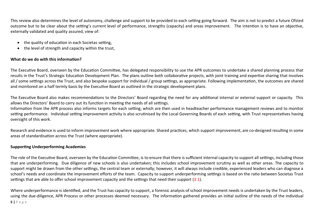This review also determines the level of autonomy, challenge and support to be provided to each setting going forward. The aim is not to predict a future Ofsted outcome but to be clear about the setting's current level of performance, strengths (capacity) and areas improvement. The intention is to have an objective, externally validated and quality assured, view of:

- the quality of education in each Societas setting,
- the level of strength and capacity within the trust,

## **What do we do with this information?**

The Executive Board, overseen by the Education Committee, has delegated responsibility to use the APR outcomes to undertake a shared planning process that results in the Trust's Strategic Education Development Plan. The plans outline both collaborative projects, with joint training and expertise sharing that involves all / some settings across the Trust, and also bespoke support for individual / group settings, as appropriate. Following implementation, the outcomes are shared and monitored on a half termly basis by the Executive Board as outlined in the strategic development plans.

The Executive Board also makes recommendations to the Directors' Board regarding the need for any additional internal or external support or capacity. This allows the Directors' Board to carry out its function in meeting the needs of all settings.

Information from the APR process also informs targets for each setting, which are then used in headteacher performance management reviews and to monitor setting performance. Individual setting improvement activity is also scrutinised by the Local Governing Boards of each setting, with Trust representatives having oversight of this work.

Research and evidence is used to inform improvement work where appropriate. Shared practices, which support improvement, are co-designed resulting in some areas of standardisation across the Trust (where appropriate).

### **Supporting Underperforming Academies**

The role of the Executive Board, overseen by the Education Committee, is to ensure that there is sufficient internal capacity to support all settings, including those that are underperforming. Due diligence of new schools is also undertaken; this includes school improvement scrutiny as well as other areas. The capacity to support might be drawn from the other settings, the central team or externally; however, it will always include credible, experienced leaders who can diagnose a school's needs and coordinate the improvement efforts of the team. Capacity to support underperforming settings is based on the ratio between Societas Trust settings that are able to offer school improvement capacity and the settings that need their support (3:1).

Where underperformance is identified, and the Trust has capacity to support, a forensic analysis of school improvement needs is undertaken by the Trust leaders, using the due-diligence, APR Process or other processes deemed necessary. The information gathered provides an initial outline of the needs of the individual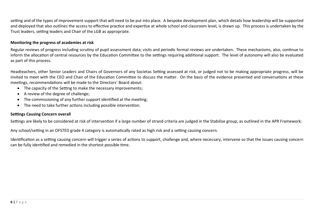setting and of the types of improvement support that will need to be put into place. A bespoke development plan, which details how leadership will be supported and deployed that also outlines the access to effective practice and expertise at whole school and classroom level, is drawn up. This process is undertaken by the Trust leaders, setting leaders and Chair of the LGB as appropriate.

## **Monitoring the progress of academies at risk**

Regular reviews of progress including scrutiny of pupil assessment data; visits and periodic formal reviews are undertaken. These mechanisms, also, continue to inform the allocation of central resources by the Education Committee to the settings requiring additional support. The level of autonomy will also be evaluated as part of this process.

Headteachers, other Senior Leaders and Chairs of Governors of any Societas Setting assessed at risk, or judged not to be making appropriate progress, will be invited to meet with the CEO and Chair of the Education Committee to discuss the matter. On the basis of the evidence presented and conversations at these meetings, recommendations will be made to the Directors' Board about:

- The capacity of the Setting to make the necessary improvements;
- A review of the degree of challenge;
- The commissioning of any further support identified at the meeting;
- The need to take further actions including possible intervention.

### **Settings Causing Concern overall**

Settings are likely to be considered at risk of intervention if a large number of strand criteria are judged in the Stabilise group, as outlined in the APR Framework:

Any school/setting in an OFSTED grade 4 category is automatically rated as high risk and a setting causing concern.

Identification as a setting causing concern will trigger a series of actions to support, challenge and, where necessary, intervene so that the issues causing concern can be fully identified and remedied in the shortest possible time.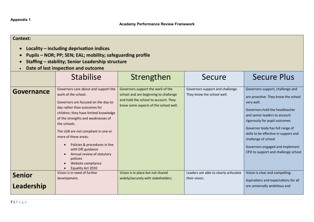**Appendix 1**

| <b>Context:</b><br>Locality – including deprivation indices<br>Pupils - NOR; PP; SEN; EAL; mobility; safeguarding profile<br>Staffing - stability; Senior Leadership structure<br>Date of last inspection and outcome |                                                                                                                                                                                                                                                                                                                                                                                                                                              |                                                                                                                                                             |                                                                |                                                                                                                                                                                                                                                                                                                                                                        |
|-----------------------------------------------------------------------------------------------------------------------------------------------------------------------------------------------------------------------|----------------------------------------------------------------------------------------------------------------------------------------------------------------------------------------------------------------------------------------------------------------------------------------------------------------------------------------------------------------------------------------------------------------------------------------------|-------------------------------------------------------------------------------------------------------------------------------------------------------------|----------------------------------------------------------------|------------------------------------------------------------------------------------------------------------------------------------------------------------------------------------------------------------------------------------------------------------------------------------------------------------------------------------------------------------------------|
|                                                                                                                                                                                                                       | <b>Stabilise</b>                                                                                                                                                                                                                                                                                                                                                                                                                             | Strengthen                                                                                                                                                  | Secure                                                         | <b>Secure Plus</b>                                                                                                                                                                                                                                                                                                                                                     |
| Governance                                                                                                                                                                                                            | Governors care about and support the<br>work of the school.<br>Governors are focused on the day-to-<br>day rather than outcomes for<br>children; they have limited knowledge<br>of the strengths and weaknesses of<br>the schools.<br>The LGB are not compliant in one or<br>more of these areas:<br>Policies & procedures in line<br>with DfE guidance<br>Annual review of statutory<br>policies<br>Website compliance<br>Equality Act 2010 | Governors support the work of the<br>school and are beginning to challenge<br>and hold the school to account. They<br>know some aspects of the school well. | Governors support and challenge.<br>They know the school well. | Governors support, challenge and<br>are proactive. They know the school<br>very well.<br>Governors hold the headteacher<br>and senior leaders to account<br>rigorously for pupil outcomes<br>Governor body has full range of<br>skills to be effective in support and<br>challenge of school<br>Governors engaged and implement<br>CPD to support and challenge school |
| <b>Senior</b>                                                                                                                                                                                                         | Vision is in need of further<br>development.                                                                                                                                                                                                                                                                                                                                                                                                 | Vision is in place but not shared<br>widely/securely with stakeholders.                                                                                     | Leaders are able to clearly articulate<br>their vision.        | Vision is clear and compelling.                                                                                                                                                                                                                                                                                                                                        |
| Leadership                                                                                                                                                                                                            |                                                                                                                                                                                                                                                                                                                                                                                                                                              |                                                                                                                                                             |                                                                | Aspirations and expectations for all<br>are universally ambitious and                                                                                                                                                                                                                                                                                                  |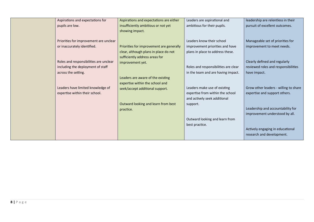| Aspirations and expectations for       | Aspirations and expectations are either  | Leaders are aspirational and         | leadership are relentless in their    |
|----------------------------------------|------------------------------------------|--------------------------------------|---------------------------------------|
| pupils are low.                        | insufficiently ambitious or not yet      | ambitious for their pupils.          | pursuit of excellent outcomes.        |
|                                        | showing impact.                          |                                      |                                       |
|                                        |                                          |                                      |                                       |
| Priorities for improvement are unclear |                                          | Leaders know their school            | Manageable set of priorities for      |
| or inaccurately identified.            | Priorities for improvement are generally | improvement priorities and have      | improvement to meet needs.            |
|                                        | clear, although plans in place do not    | plans in place to address these.     |                                       |
|                                        | sufficiently address areas for           |                                      |                                       |
| Roles and responsibilities are unclear | improvement yet.                         |                                      | Clearly defined and regularly         |
| including the deployment of staff      |                                          | Roles and responsibilities are clear | reviewed roles and responsibilities   |
| across the setting.                    |                                          | in the team and are having impact.   | have impact.                          |
|                                        | Leaders are aware of the existing        |                                      |                                       |
|                                        | expertise within the school and          |                                      |                                       |
| Leaders have limited knowledge of      | seek/accept additional support.          | Leaders make use of existing         | Grow other leaders - willing to share |
| expertise within their school.         |                                          | expertise from within the school     | expertise and support others.         |
|                                        |                                          | and actively seek additional         |                                       |
|                                        | Outward looking and learn from best      | support.                             |                                       |
|                                        | practice.                                |                                      | Leadership and accountability for     |
|                                        |                                          |                                      | improvement understood by all.        |
|                                        |                                          | Outward looking and learn from       |                                       |
|                                        |                                          | best practice.                       |                                       |
|                                        |                                          |                                      | Actively engaging in educational      |
|                                        |                                          |                                      | research and development.             |
|                                        |                                          |                                      |                                       |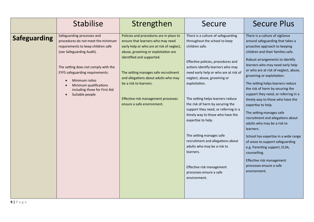|                     | <b>Stabilise</b>                                                                                                                                                                                                                                                                                                      | Strengthen                                                                                                                                                                                                                                                                                                                                                                   | Secure                                                                                                                                                                                                                                                                                                                                                                                                                                                                                                                                                                                                                    | <b>Secure Plus</b>                                                                                                                                                                                                                                                                                                                                                                                                                                                                                                                                                                                                                                                                                                                                                                  |
|---------------------|-----------------------------------------------------------------------------------------------------------------------------------------------------------------------------------------------------------------------------------------------------------------------------------------------------------------------|------------------------------------------------------------------------------------------------------------------------------------------------------------------------------------------------------------------------------------------------------------------------------------------------------------------------------------------------------------------------------|---------------------------------------------------------------------------------------------------------------------------------------------------------------------------------------------------------------------------------------------------------------------------------------------------------------------------------------------------------------------------------------------------------------------------------------------------------------------------------------------------------------------------------------------------------------------------------------------------------------------------|-------------------------------------------------------------------------------------------------------------------------------------------------------------------------------------------------------------------------------------------------------------------------------------------------------------------------------------------------------------------------------------------------------------------------------------------------------------------------------------------------------------------------------------------------------------------------------------------------------------------------------------------------------------------------------------------------------------------------------------------------------------------------------------|
| <b>Safeguarding</b> | Safeguarding processes and<br>procedures do not meet the minimum<br>requirements to keep children safe<br>(see Safeguarding Audit).<br>The setting does not comply with the<br><b>EYFS safeguarding requirements:</b><br>Minimum ratios<br>Minimum qualifications<br>including those for First Aid<br>Suitable people | Policies and procedures are in place to<br>ensure that learners who may need<br>early help or who are at risk of neglect,<br>abuse, grooming or exploitation are<br>identified and supported.<br>The setting manages safe recruitment<br>and allegations about adults who may<br>be a risk to learners.<br>Effective risk management processes<br>ensure a safe environment. | There is a culture of safeguarding<br>throughout the school to keep<br>children safe.<br>Effective policies, procedures and<br>actions identify learners who may<br>need early help or who are at risk of<br>neglect, abuse, grooming or<br>exploitation.<br>The setting helps learners reduce<br>the risk of harm by securing the<br>support they need, or referring in a<br>timely way to those who have the<br>expertise to help.<br>The setting manages safe<br>recruitment and allegations about<br>adults who may be a risk to<br>learners.<br>Effective risk management<br>processes ensure a safe<br>environment. | There is a culture of vigilance<br>around safeguarding that takes a<br>proactive approach to keeping<br>children and their families safe.<br>Robust arrangements to identify<br>learners who may need early help<br>or who are at risk of neglect, abuse,<br>grooming or exploitation.<br>The setting helps learners reduce<br>the risk of harm by securing the<br>support they need, or referring in a<br>timely way to those who have the<br>expertise to help.<br>The setting manages safe<br>recruitment and allegations about<br>adults who may be a risk to<br>learners.<br>School has expertise in a wide range<br>of areas to support safeguarding<br>e.g. Parenting support, ELSA,<br>counselling.<br>Effective risk management<br>processes ensure a safe<br>environment. |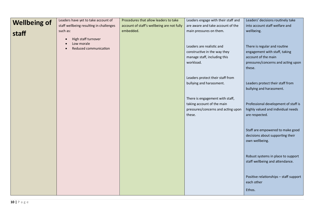|                     | Leaders have yet to take account of     | Procedures that allow leaders to take      | Leaders engage with their staff and                                                                           | Leaders' decisions routinely take                                                            |
|---------------------|-----------------------------------------|--------------------------------------------|---------------------------------------------------------------------------------------------------------------|----------------------------------------------------------------------------------------------|
| <b>Wellbeing of</b> | staff wellbeing resulting in challenges | account of staff's wellbeing are not fully | are aware and take account of the                                                                             | into account staff welfare and                                                               |
| staff               | such as:<br>High staff turnover         | embedded.                                  | main pressures on them.                                                                                       | wellbeing.                                                                                   |
|                     | Low morale<br>Reduced communication     |                                            | Leaders are realistic and<br>constructive in the way they                                                     | There is regular and routine<br>engagement with staff, taking                                |
|                     |                                         |                                            | manage staff, including this<br>workload.                                                                     | account of the main<br>pressures/concerns and acting upon<br>these.                          |
|                     |                                         |                                            | Leaders protect their staff from<br>bullying and harassment.                                                  | Leaders protect their staff from<br>bullying and harassment.                                 |
|                     |                                         |                                            | There is engagement with staff,<br>taking account of the main<br>pressures/concerns and acting upon<br>these. | Professional development of staff is<br>highly valued and individual needs<br>are respected. |
|                     |                                         |                                            |                                                                                                               | Staff are empowered to make good<br>decisions about supporting their<br>own wellbeing.       |
|                     |                                         |                                            |                                                                                                               | Robust systems in place to support<br>staff wellbeing and attendance.                        |
|                     |                                         |                                            |                                                                                                               | Positive relationships - staff support<br>each other                                         |
|                     |                                         |                                            |                                                                                                               | Ethos.                                                                                       |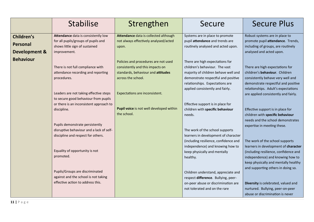|                          | <b>Stabilise</b>                                                               | Strengthen                               | Secure                                   | <b>Secure Plus</b>                                                       |
|--------------------------|--------------------------------------------------------------------------------|------------------------------------------|------------------------------------------|--------------------------------------------------------------------------|
| Children's               | Attendance data is consistently low                                            | Attendance data is collected although    | Systems are in place to promote          | Robust systems are in place to                                           |
| Personal                 | for all pupils/groups of pupils and                                            | not always effectively analysed/acted    | pupil attendance and trends are          | promote pupil attendance. Trends,                                        |
|                          | shows little sign of sustained                                                 | upon.                                    | routinely analysed and acted upon.       | including of groups, are routinely                                       |
| <b>Development &amp;</b> | improvement.                                                                   |                                          |                                          | analysed and acted upon.                                                 |
| <b>Behaviour</b>         |                                                                                | Policies and procedures are not used     | There are high expectations for          |                                                                          |
|                          | There is not full compliance with                                              | consistently and this impacts on         | children's behaviour. The vast           | There are high expectations for                                          |
|                          | attendance recording and reporting                                             | standards, behaviour and attitudes       | majority of children behave well and     | children's behaviour. Children                                           |
|                          | procedures.                                                                    | across the school.                       | demonstrate respectful and positive      | consistently behave very well and                                        |
|                          |                                                                                |                                          | relationships. Expectations are          | demonstrate respectful and positive                                      |
|                          |                                                                                |                                          | applied consistently and fairly.         | relationships. Adult's expectations                                      |
|                          | Leaders are not taking effective steps<br>to secure good behaviour from pupils | Expectations are inconsistent.           |                                          | are applied consistently and fairly.                                     |
|                          | or there is an inconsistent approach to                                        |                                          | Effective support is in place for        |                                                                          |
|                          | discipline.                                                                    | Pupil voice is not well developed within | children with specific behaviour         | Effective support is in place for                                        |
|                          |                                                                                | the school.                              | needs.                                   | children with specific behaviour                                         |
|                          |                                                                                |                                          |                                          | needs and the school demonstrates                                        |
|                          | Pupils demonstrate persistently                                                |                                          |                                          | expertise in meeting these.                                              |
|                          | disruptive behaviour and a lack of self-                                       |                                          | The work of the school supports          |                                                                          |
|                          | discipline and respect for others.                                             |                                          | learners in development of character     |                                                                          |
|                          |                                                                                |                                          | (including resilience, confidence and    | The work of the school supports                                          |
|                          | Equality of opportunity is not                                                 |                                          | independence) and knowing how to         | learners in development of character                                     |
|                          | promoted.                                                                      |                                          | keep physically and mentally<br>healthy. | (including resilience, confidence and                                    |
|                          |                                                                                |                                          |                                          | independence) and knowing how to<br>keep physically and mentally healthy |
|                          |                                                                                |                                          |                                          | and supporting others in doing so.                                       |
|                          | Pupils/Groups are discriminated                                                |                                          | Children understand, appreciate and      |                                                                          |
|                          | against and the school is not taking                                           |                                          | respect difference. Bullying, peer-      |                                                                          |
|                          | effective action to address this.                                              |                                          | on-peer abuse or discrimination are      | Diversity is celebrated, valued and                                      |
|                          |                                                                                |                                          | not tolerated and on the rare            | nurtured. Bullying, peer-on-peer                                         |
|                          |                                                                                |                                          |                                          | abuse or discrimination is never                                         |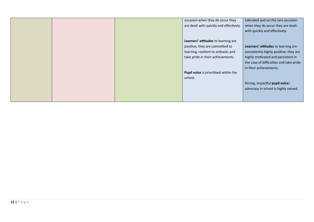|  | occasion when they do occur they        | tolerated and on the rare occasion      |
|--|-----------------------------------------|-----------------------------------------|
|  | are dealt with quickly and effectively. | when they do occur they are dealt       |
|  |                                         | with quickly and effectively.           |
|  |                                         |                                         |
|  | Learners' attitudes to learning are     |                                         |
|  | positive; they are committed to         | Learners' attitudes to learning are     |
|  | learning, resilient to setbacks and     | consistently highly positive; they are  |
|  | take pride in their achievements.       | highly motivated and persistent in      |
|  |                                         | the case of difficulties and take pride |
|  |                                         | in their achievements.                  |
|  | Pupil voice is prioritised within the   |                                         |
|  | school.                                 |                                         |
|  |                                         | Strong, impactful pupil voice/          |
|  |                                         | advocacy in school is highly valued.    |
|  |                                         |                                         |
|  |                                         |                                         |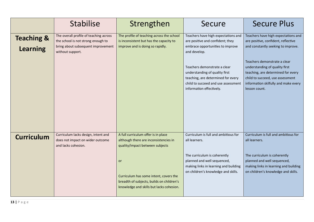|                                          | <b>Stabilise</b>                                                                                                                       | Strengthen                                                                                                                                   | Secure                                                                                                                                                                  | <b>Secure Plus</b>                                                                                                                                                                                |
|------------------------------------------|----------------------------------------------------------------------------------------------------------------------------------------|----------------------------------------------------------------------------------------------------------------------------------------------|-------------------------------------------------------------------------------------------------------------------------------------------------------------------------|---------------------------------------------------------------------------------------------------------------------------------------------------------------------------------------------------|
| <b>Teaching &amp;</b><br><b>Learning</b> | The overall profile of teaching across<br>the school is not strong enough to<br>bring about subsequent improvement<br>without support. | The profile of teaching across the school<br>is inconsistent but has the capacity to<br>improve and is doing so rapidly.                     | Teachers have high expectations and<br>are positive and confident; they<br>embrace opportunities to improve<br>and develop.                                             | Teachers have high expectations and<br>are positive, confident, reflective<br>and constantly seeking to improve.                                                                                  |
|                                          |                                                                                                                                        |                                                                                                                                              | Teachers demonstrate a clear<br>understanding of quality first<br>teaching, are determined for every<br>child to succeed and use assessment<br>information effectively. | Teachers demonstrate a clear<br>understanding of quality first<br>teaching, are determined for every<br>child to succeed, use assessment<br>information skilfully and make every<br>lesson count. |
| <b>Curriculum</b>                        | Curriculum lacks design, intent and<br>does not impact on wider outcome<br>and lacks cohesion.                                         | A full curriculum offer is in place<br>although there are inconsistencies in<br>quality/impact between subjects                              | Curriculum is full and ambitious for<br>all learners.                                                                                                                   | Curriculum is full and ambitious for<br>all learners.                                                                                                                                             |
|                                          |                                                                                                                                        | <b>or</b><br>Curriculum has some intent, covers the<br>breadth of subjects, builds on children's<br>knowledge and skills but lacks cohesion. | The curriculum is coherently<br>planned and well sequenced,<br>making links in learning and building<br>on children's knowledge and skills.                             | The curriculum is coherently<br>planned and well sequenced,<br>making links in learning and building<br>on children's knowledge and skills.                                                       |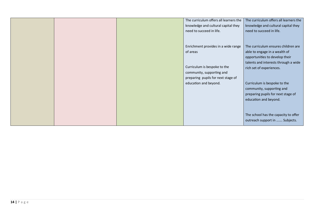|  | The curriculum offers all learners the | The curriculum offers all learners the |
|--|----------------------------------------|----------------------------------------|
|  | knowledge and cultural capital they    | knowledge and cultural capital they    |
|  | need to succeed in life.               | need to succeed in life.               |
|  |                                        |                                        |
|  |                                        |                                        |
|  | Enrichment provides in a wide range    | The curriculum ensures children are    |
|  | of areas                               | able to engage in a wealth of          |
|  |                                        | opportunities to develop their         |
|  |                                        | talents and interests through a wide   |
|  | Curriculum is bespoke to the           | rich set of experiences.               |
|  | community, supporting and              |                                        |
|  | preparing pupils for next stage of     |                                        |
|  | education and beyond.                  | Curriculum is bespoke to the           |
|  |                                        | community, supporting and              |
|  |                                        | preparing pupils for next stage of     |
|  |                                        | education and beyond.                  |
|  |                                        |                                        |
|  |                                        |                                        |
|  |                                        | The school has the capacity to offer   |
|  |                                        | outreach support in  Subjects.         |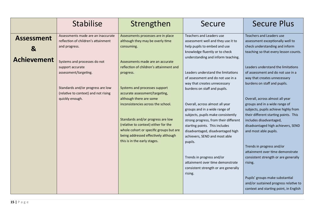|                                                         | <b>Stabilise</b>                                                                                                                                                                                                                                                        | Strengthen                                                                                                                                                                                                                                                                                                                                                                                                                                                                                                           | Secure                                                                                                                                                                                                                                                                                                                                                                                                                                                                                                                                                                                                                                                                                                  | <b>Secure Plus</b>                                                                                                                                                                                                                                                                                                                                                                                                                                                                                                                                                                                                                                           |
|---------------------------------------------------------|-------------------------------------------------------------------------------------------------------------------------------------------------------------------------------------------------------------------------------------------------------------------------|----------------------------------------------------------------------------------------------------------------------------------------------------------------------------------------------------------------------------------------------------------------------------------------------------------------------------------------------------------------------------------------------------------------------------------------------------------------------------------------------------------------------|---------------------------------------------------------------------------------------------------------------------------------------------------------------------------------------------------------------------------------------------------------------------------------------------------------------------------------------------------------------------------------------------------------------------------------------------------------------------------------------------------------------------------------------------------------------------------------------------------------------------------------------------------------------------------------------------------------|--------------------------------------------------------------------------------------------------------------------------------------------------------------------------------------------------------------------------------------------------------------------------------------------------------------------------------------------------------------------------------------------------------------------------------------------------------------------------------------------------------------------------------------------------------------------------------------------------------------------------------------------------------------|
| <b>Assessment</b><br>$\mathbf{g}$<br><b>Achievement</b> | Assessments made are an inaccurate<br>reflection of children's attainment<br>and progress.<br>Systems and processes do not<br>support accurate<br>assessment/targeting.<br>Standards and/or progress are low<br>(relative to context) and not rising<br>quickly enough. | Assessments processes are in place<br>although they may be overly time<br>consuming.<br>Assessments made are an accurate<br>reflection of children's attainment and<br>progress.<br>Systems and processes support<br>accurate assessment/targeting,<br>although there are some<br>inconsistencies across the school.<br>Standards and/or progress are low<br>(relative to context) either for the<br>whole cohort or specific groups but are<br>being addressed effectively although<br>this is in the early stages. | <b>Teachers and Leaders use</b><br>assessment well and they use it to<br>help pupils to embed and use<br>knowledge fluently or to check<br>understanding and inform teaching.<br>Leaders understand the limitations<br>of assessment and do not use in a<br>way that creates unnecessary<br>burdens on staff and pupils.<br>Overall, across almost all year<br>groups and in a wide range of<br>subjects, pupils make consistently<br>strong progress, from their different<br>starting points. This includes<br>disadvantaged, disadvantaged high<br>achievers, SEND and most able<br>pupils.<br>Trends in progress and/or<br>attainment over time demonstrate<br>consistent strength or are generally | <b>Teachers and Leaders use</b><br>assessment exceptionally well to<br>check understanding and inform<br>teaching so that every lesson counts.<br>Leaders understand the limitations<br>of assessment and do not use in a<br>way that creates unnecessary<br>burdens on staff and pupils.<br>Overall, across almost all year<br>groups and in a wide range of<br>subjects, pupils achieve highly from<br>their different starting points. This<br>includes disadvantaged,<br>disadvantaged high achievers, SEND<br>and most able pupils.<br>Trends in progress and/or<br>attainment over time demonstrate<br>consistent strength or are generally<br>rising. |
|                                                         |                                                                                                                                                                                                                                                                         |                                                                                                                                                                                                                                                                                                                                                                                                                                                                                                                      | rising.                                                                                                                                                                                                                                                                                                                                                                                                                                                                                                                                                                                                                                                                                                 | Pupils' groups make substantial<br>and/or sustained progress relative to<br>context and starting point, in English                                                                                                                                                                                                                                                                                                                                                                                                                                                                                                                                           |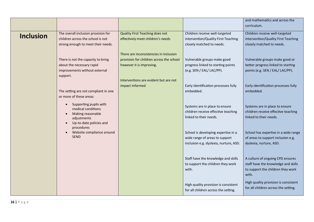|                  |                                                                                                                          |                                                                                                                |                                                                                                                 | and mathematics and across the<br>curriculum.                                                                         |
|------------------|--------------------------------------------------------------------------------------------------------------------------|----------------------------------------------------------------------------------------------------------------|-----------------------------------------------------------------------------------------------------------------|-----------------------------------------------------------------------------------------------------------------------|
| <b>Inclusion</b> | The overall inclusion provision for<br>children across the school is not<br>strong enough to meet their needs.           | Quality First Teaching does not<br>effectively meet children's needs                                           | Children receive well-targeted<br>intervention/Quality First Teaching<br>closely matched to needs.              | Children receive well-targeted<br>intervention/Quality First Teaching<br>closely matched to needs.                    |
|                  | There is not the capacity to bring<br>about the necessary rapid<br>improvements without external<br>support.             | There are inconsistencies in inclusion<br>provision for children across the school<br>however it is improving. | Vulnerable groups make good<br>progress linked to starting points<br>(e.g. SEN / EAL/ LAC/PP).                  | Vulnerable groups make good or<br>better progress linked to starting<br>points (e.g. SEN / EAL/ LAC/PP).              |
|                  | The setting are not compliant in one<br>or more of these areas:                                                          | Interventions are evident but are not<br>impact informed                                                       | Early identification processes fully<br>embedded.                                                               | Early identification processes fully<br>embedded.                                                                     |
|                  | Supporting pupils with<br>medical conditions<br>Making reasonable<br>$\bullet$<br>adjustments<br>Up-to-date policies and |                                                                                                                | Systems are in place to ensure<br>children receive effective teaching<br>linked to their needs.                 | Systems are in place to ensure<br>children receive effective teaching<br>linked to their needs.                       |
|                  | procedures<br>Website compliance around<br>$\bullet$<br><b>SEND</b>                                                      |                                                                                                                | School is developing expertise in a<br>wide range of areas to support<br>inclusion e.g. dyslexia, nurture, ASD. | School has expertise in a wide range<br>of areas to support inclusion e.g.<br>dyslexia, nurture, ASD.                 |
|                  |                                                                                                                          |                                                                                                                | Staff have the knowledge and skills<br>to support the children they work<br>with.                               | A culture of ongoing CPD ensures<br>staff have the knowledge and skills<br>to support the children they work<br>with. |
|                  |                                                                                                                          |                                                                                                                | High quality provision is consistent<br>for all children across the setting.                                    | High quality provision is consistent<br>for all children across the setting.                                          |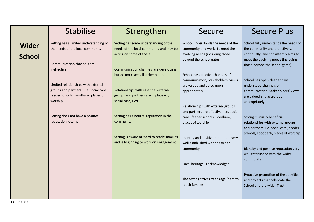|                               | <b>Stabilise</b>                                                                                                                                                                                              | Strengthen                                                                                                                                                                                                                                | Secure                                                                                                                                                                                                                                                         | <b>Secure Plus</b>                                                                                                                                                                                                                                                                |
|-------------------------------|---------------------------------------------------------------------------------------------------------------------------------------------------------------------------------------------------------------|-------------------------------------------------------------------------------------------------------------------------------------------------------------------------------------------------------------------------------------------|----------------------------------------------------------------------------------------------------------------------------------------------------------------------------------------------------------------------------------------------------------------|-----------------------------------------------------------------------------------------------------------------------------------------------------------------------------------------------------------------------------------------------------------------------------------|
| <b>Wider</b><br><b>School</b> | Setting has a limited understanding of<br>the needs of the local community.<br>Communication channels are                                                                                                     | Setting has some understanding of the<br>needs of the local community and may be<br>acting on some of these.                                                                                                                              | School understands the needs of the<br>community and works to meet the<br>evolving needs (including those<br>beyond the school gates)                                                                                                                          | School fully understands the needs of<br>the community and proactively,<br>continually, and consistently aims to<br>meet the evolving needs (including<br>those beyond the school gates)                                                                                          |
|                               | ineffective.<br>Limited relationships with external<br>groups and partners $-$ i.e. social care,<br>feeder schools, Foodbank, places of<br>worship<br>Setting does not have a positive<br>reputation locally. | Communication channels are developing<br>but do not reach all stakeholders<br>Relationships with essential external<br>groups and partners are in place e.g.<br>social care, EWO<br>Setting has a neutral reputation in the<br>community. | School has effective channels of<br>communication, Stakeholders' views<br>are valued and acted upon<br>appropriately<br>Relationships with external groups<br>and partners are effective - i.e. social<br>care, feeder schools, Foodbank,<br>places of worship | School has open clear and well<br>understood channels of<br>communication, Stakeholders' views<br>are valued and acted upon<br>appropriately<br>Strong mutually beneficial<br>relationships with external groups                                                                  |
|                               |                                                                                                                                                                                                               | Setting is aware of 'hard to reach' families<br>and is beginning to work on engagement                                                                                                                                                    | Identity and positive reputation very<br>well established with the wider<br>community<br>Local heritage is acknowledged<br>The setting strives to engage 'hard to<br>reach families'                                                                           | and partners- i.e. social care, feeder<br>schools, Foodbank, places of worship<br>Identity and positive reputation very<br>well established with the wider<br>community<br>Proactive promotion of the activities<br>and projects that celebrate the<br>School and the wider Trust |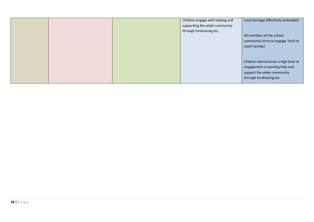|  | Children engage with helping and<br>supporting the wider community<br>through fundraising etc. | Local heritage effectively embedded<br>All members of the school<br>community strive to engage 'hard to<br>reach families'        |
|--|------------------------------------------------------------------------------------------------|-----------------------------------------------------------------------------------------------------------------------------------|
|  |                                                                                                | Children demonstrate a high level of<br>engagement in wanting help and<br>support the wider community<br>through fundraising etc. |